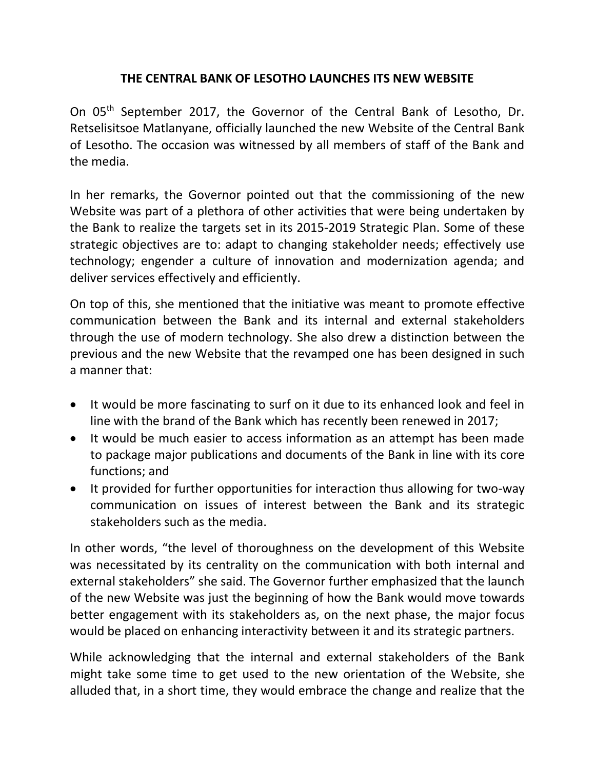## **THE CENTRAL BANK OF LESOTHO LAUNCHES ITS NEW WEBSITE**

On 05<sup>th</sup> September 2017, the Governor of the Central Bank of Lesotho, Dr. Retselisitsoe Matlanyane, officially launched the new Website of the Central Bank of Lesotho. The occasion was witnessed by all members of staff of the Bank and the media.

In her remarks, the Governor pointed out that the commissioning of the new Website was part of a plethora of other activities that were being undertaken by the Bank to realize the targets set in its 2015-2019 Strategic Plan. Some of these strategic objectives are to: adapt to changing stakeholder needs; effectively use technology; engender a culture of innovation and modernization agenda; and deliver services effectively and efficiently.

On top of this, she mentioned that the initiative was meant to promote effective communication between the Bank and its internal and external stakeholders through the use of modern technology. She also drew a distinction between the previous and the new Website that the revamped one has been designed in such a manner that:

- It would be more fascinating to surf on it due to its enhanced look and feel in line with the brand of the Bank which has recently been renewed in 2017;
- It would be much easier to access information as an attempt has been made to package major publications and documents of the Bank in line with its core functions; and
- It provided for further opportunities for interaction thus allowing for two-way communication on issues of interest between the Bank and its strategic stakeholders such as the media.

In other words, "the level of thoroughness on the development of this Website was necessitated by its centrality on the communication with both internal and external stakeholders" she said. The Governor further emphasized that the launch of the new Website was just the beginning of how the Bank would move towards better engagement with its stakeholders as, on the next phase, the major focus would be placed on enhancing interactivity between it and its strategic partners.

While acknowledging that the internal and external stakeholders of the Bank might take some time to get used to the new orientation of the Website, she alluded that, in a short time, they would embrace the change and realize that the